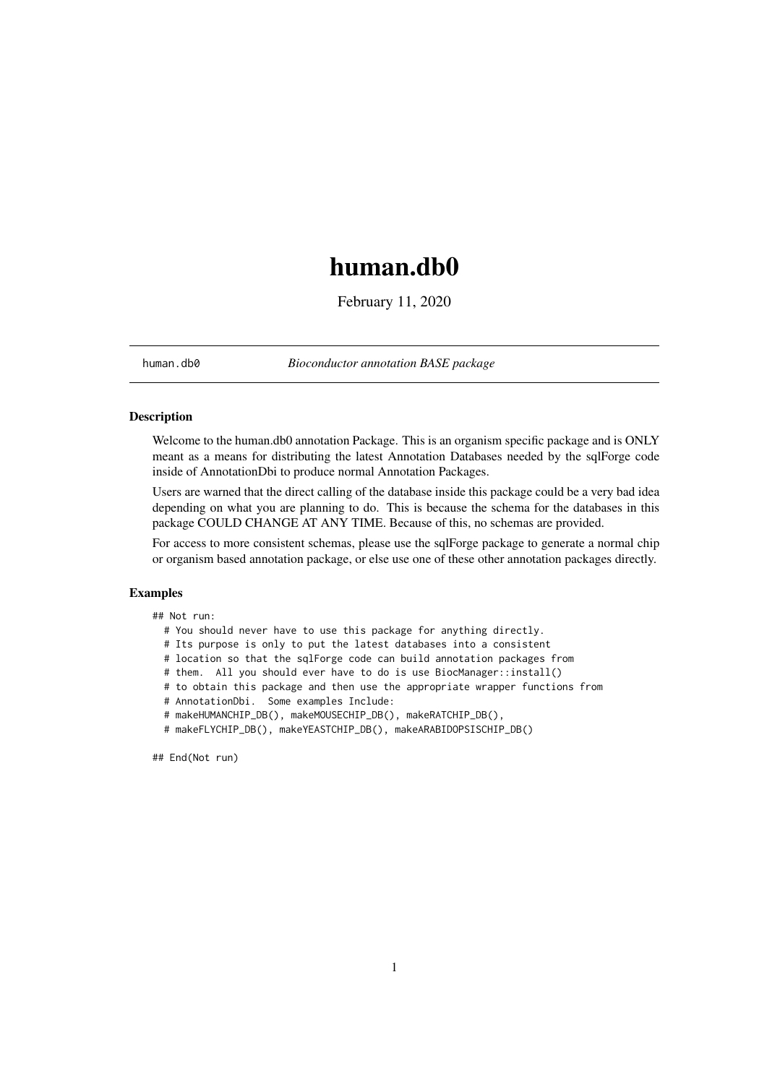## <span id="page-0-0"></span>human.db0

February 11, 2020

human.db0 *Bioconductor annotation BASE package*

#### Description

Welcome to the human.db0 annotation Package. This is an organism specific package and is ONLY meant as a means for distributing the latest Annotation Databases needed by the sqlForge code inside of AnnotationDbi to produce normal Annotation Packages.

Users are warned that the direct calling of the database inside this package could be a very bad idea depending on what you are planning to do. This is because the schema for the databases in this package COULD CHANGE AT ANY TIME. Because of this, no schemas are provided.

For access to more consistent schemas, please use the sqlForge package to generate a normal chip or organism based annotation package, or else use one of these other annotation packages directly.

#### Examples

## Not run:

- # You should never have to use this package for anything directly.
- # Its purpose is only to put the latest databases into a consistent
- # location so that the sqlForge code can build annotation packages from
- # them. All you should ever have to do is use BiocManager::install()
- # to obtain this package and then use the appropriate wrapper functions from
- # AnnotationDbi. Some examples Include:
- # makeHUMANCHIP\_DB(), makeMOUSECHIP\_DB(), makeRATCHIP\_DB(),
- # makeFLYCHIP\_DB(), makeYEASTCHIP\_DB(), makeARABIDOPSISCHIP\_DB()

## End(Not run)